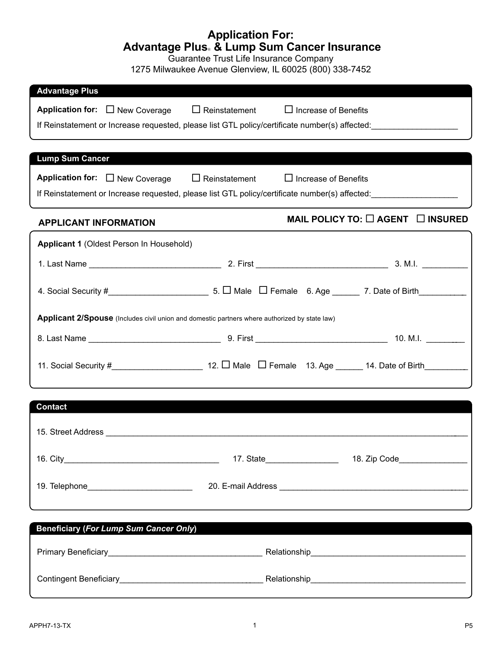### **Application For: Advantage Plus**® **& Lump Sum Cancer Insurance**

Guarantee Trust Life Insurance Company

1275 Milwaukee Avenue Glenview, IL 60025 (800) 338-7452

| <b>Advantage Plus</b>                                                                                                                                                                                                          |                                                                                                                      |
|--------------------------------------------------------------------------------------------------------------------------------------------------------------------------------------------------------------------------------|----------------------------------------------------------------------------------------------------------------------|
| Application for: $\Box$ New Coverage                                                                                                                                                                                           | $\Box$ Reinstatement<br>$\Box$ Increase of Benefits                                                                  |
|                                                                                                                                                                                                                                | If Reinstatement or Increase requested, please list GTL policy/certificate number(s) affected:                       |
|                                                                                                                                                                                                                                |                                                                                                                      |
| <b>Lump Sum Cancer</b>                                                                                                                                                                                                         |                                                                                                                      |
|                                                                                                                                                                                                                                |                                                                                                                      |
| Application for: $\Box$ New Coverage                                                                                                                                                                                           | $\Box$ Reinstatement<br>$\Box$ Increase of Benefits                                                                  |
|                                                                                                                                                                                                                                | If Reinstatement or Increase requested, please list GTL policy/certificate number(s) affected:                       |
| <b>APPLICANT INFORMATION</b>                                                                                                                                                                                                   | MAIL POLICY TO: □ AGENT □ INSURED                                                                                    |
| Applicant 1 (Oldest Person In Household)                                                                                                                                                                                       |                                                                                                                      |
|                                                                                                                                                                                                                                |                                                                                                                      |
|                                                                                                                                                                                                                                |                                                                                                                      |
|                                                                                                                                                                                                                                | 4. Social Security #________________________________5. [ Male [ I Female 6. Age _______ 7. Date of Birth____________ |
|                                                                                                                                                                                                                                | Applicant 2/Spouse (Includes civil union and domestic partners where authorized by state law)                        |
|                                                                                                                                                                                                                                |                                                                                                                      |
|                                                                                                                                                                                                                                |                                                                                                                      |
|                                                                                                                                                                                                                                |                                                                                                                      |
|                                                                                                                                                                                                                                |                                                                                                                      |
| <b>Contact</b>                                                                                                                                                                                                                 |                                                                                                                      |
|                                                                                                                                                                                                                                |                                                                                                                      |
| 15. Street Address and the street of the street and the street and the street and the street and the street and the street and the street and the street and the street and the street and the street and the street and the s |                                                                                                                      |
|                                                                                                                                                                                                                                |                                                                                                                      |
|                                                                                                                                                                                                                                |                                                                                                                      |
| 19. Telephone____________________________                                                                                                                                                                                      |                                                                                                                      |
|                                                                                                                                                                                                                                |                                                                                                                      |
|                                                                                                                                                                                                                                |                                                                                                                      |
| <b>Beneficiary (For Lump Sum Cancer Only)</b>                                                                                                                                                                                  |                                                                                                                      |
|                                                                                                                                                                                                                                |                                                                                                                      |
|                                                                                                                                                                                                                                |                                                                                                                      |
|                                                                                                                                                                                                                                |                                                                                                                      |
|                                                                                                                                                                                                                                |                                                                                                                      |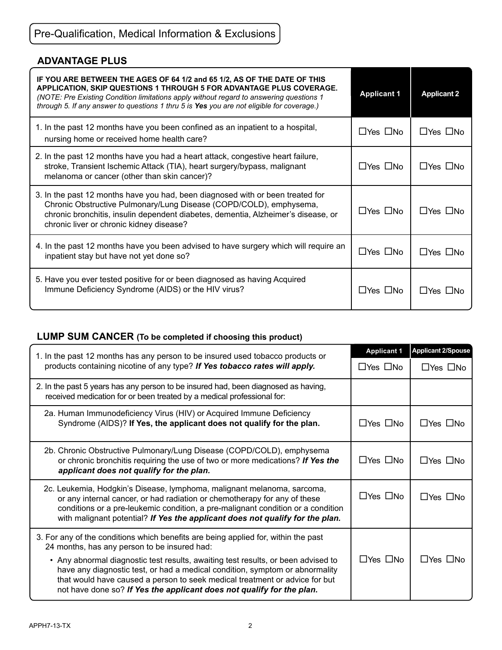# Pre-Qualification, Medical Information & Exclusions

### **ADVANTAGE PLUS**

| IF YOU ARE BETWEEN THE AGES OF 64 1/2 and 65 1/2, AS OF THE DATE OF THIS<br>APPLICATION, SKIP QUESTIONS 1 THROUGH 5 FOR ADVANTAGE PLUS COVERAGE.<br>(NOTE: Pre Existing Condition limitations apply without regard to answering questions 1<br>through 5. If any answer to questions 1 thru 5 is Yes you are not eligible for coverage.) | <b>Applicant 1</b>   | <b>Applicant 2</b>   |
|------------------------------------------------------------------------------------------------------------------------------------------------------------------------------------------------------------------------------------------------------------------------------------------------------------------------------------------|----------------------|----------------------|
| 1. In the past 12 months have you been confined as an inpatient to a hospital,<br>nursing home or received home health care?                                                                                                                                                                                                             | $\Box$ Yes $\Box$ No | $\Box$ Yes $\Box$ No |
| 2. In the past 12 months have you had a heart attack, congestive heart failure,<br>stroke, Transient Ischemic Attack (TIA), heart surgery/bypass, malignant<br>melanoma or cancer (other than skin cancer)?                                                                                                                              | $\Box$ Yes $\Box$ No | $\Box$ Yes $\Box$ No |
| 3. In the past 12 months have you had, been diagnosed with or been treated for<br>Chronic Obstructive Pulmonary/Lung Disease (COPD/COLD), emphysema,<br>chronic bronchitis, insulin dependent diabetes, dementia, Alzheimer's disease, or<br>chronic liver or chronic kidney disease?                                                    | $\Box$ Yes $\Box$ No | $\Box$ Yes $\Box$ No |
| 4. In the past 12 months have you been advised to have surgery which will require an<br>inpatient stay but have not yet done so?                                                                                                                                                                                                         | $\Box$ Yes $\Box$ No | $\Box$ Yes $\Box$ No |
| 5. Have you ever tested positive for or been diagnosed as having Acquired<br>Immune Deficiency Syndrome (AIDS) or the HIV virus?                                                                                                                                                                                                         | $\Box$ Yes $\Box$ No | $\Box$ Yes $\Box$ No |

## **Lump Sum Cancer (To be completed if choosing this product)**

| 1. In the past 12 months has any person to be insured used tobacco products or<br>products containing nicotine of any type? If Yes tobacco rates will apply.                                                                                                                                                              |                      | <b>Applicant 2/Spouse</b> |
|---------------------------------------------------------------------------------------------------------------------------------------------------------------------------------------------------------------------------------------------------------------------------------------------------------------------------|----------------------|---------------------------|
|                                                                                                                                                                                                                                                                                                                           |                      | $\Box$ Yes $\Box$ No      |
| 2. In the past 5 years has any person to be insured had, been diagnosed as having,<br>received medication for or been treated by a medical professional for:                                                                                                                                                              |                      |                           |
| 2a. Human Immunodeficiency Virus (HIV) or Acquired Immune Deficiency<br>Syndrome (AIDS)? If Yes, the applicant does not qualify for the plan.                                                                                                                                                                             | $\Box$ Yes $\Box$ No | $\Box$ Yes $\Box$ No      |
| 2b. Chronic Obstructive Pulmonary/Lung Disease (COPD/COLD), emphysema<br>or chronic bronchitis requiring the use of two or more medications? If Yes the<br>applicant does not qualify for the plan.                                                                                                                       | $\Box$ Yes $\Box$ No | $\Box$ Yes $\Box$ No      |
| 2c. Leukemia, Hodgkin's Disease, lymphoma, malignant melanoma, sarcoma,<br>or any internal cancer, or had radiation or chemotherapy for any of these<br>conditions or a pre-leukemic condition, a pre-malignant condition or a condition<br>with malignant potential? If Yes the applicant does not qualify for the plan. | $\Box$ Yes $\Box$ No | $\Box$ Yes $\Box$ No      |
| 3. For any of the conditions which benefits are being applied for, within the past<br>24 months, has any person to be insured had:                                                                                                                                                                                        |                      |                           |
| • Any abnormal diagnostic test results, awaiting test results, or been advised to<br>have any diagnostic test, or had a medical condition, symptom or abnormality<br>that would have caused a person to seek medical treatment or advice for but<br>not have done so? If Yes the applicant does not qualify for the plan. | $\Box$ Yes $\Box$ No | $\Box$ Yes $\Box$ No      |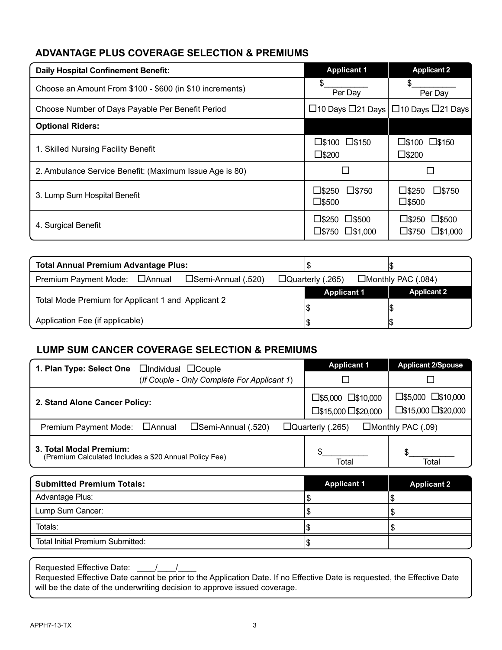#### **Advantage Plus Coverage Selection & Premiums**

| <b>Daily Hospital Confinement Benefit:</b>               | <b>Applicant 1</b>                                                      | <b>Applicant 2</b>                                                |
|----------------------------------------------------------|-------------------------------------------------------------------------|-------------------------------------------------------------------|
| Choose an Amount From \$100 - \$600 (in \$10 increments) | S<br>Per Day                                                            | \$.<br>Per Day                                                    |
| Choose Number of Days Payable Per Benefit Period         |                                                                         | $\Box$ 10 Days $\Box$ 21 Days $\Box$ 10 Days $\Box$ 21 Days       |
| <b>Optional Riders:</b>                                  |                                                                         |                                                                   |
| 1. Skilled Nursing Facility Benefit                      | □\$100 □\$150<br>$\square$ \$200                                        | $\square$ \$100 $\square$ \$150<br>$\square$ \$200                |
| 2. Ambulance Service Benefit: (Maximum Issue Age is 80)  |                                                                         |                                                                   |
| 3. Lump Sum Hospital Benefit                             | $\square$ \$250<br>$\square$ \$750<br>$\square$ \$500                   | $\square$ \$250<br>$\square$ \$750<br>$\square$ \$500             |
| 4. Surgical Benefit                                      | $\square$ \$250<br>$\square$ \$500<br>$\square$ \$750 $\square$ \$1,000 | $\square$ \$250<br>$\square$ \$500<br>$\square$ \$1,000<br>⊔\$750 |

| <b>Total Annual Premium Advantage Plus:</b>         |                    |                                                   |  |
|-----------------------------------------------------|--------------------|---------------------------------------------------|--|
| Premium Payment Mode: □ Annual □ Semi-Annual (.520) |                    | $\Box$ Quarterly (.265) $\Box$ Monthly PAC (.084) |  |
| Total Mode Premium for Applicant 1 and Applicant 2  | <b>Applicant 1</b> | <b>Applicant 2</b>                                |  |
| Application Fee (if applicable)                     |                    |                                                   |  |

#### **Lump Sum Cancer Coverage Selection & Premiums**

| 1. Plan Type: Select One<br>$\Box$ Individual $\Box$ Couple                       | <b>Applicant 1</b>                                  | <b>Applicant 2/Spouse</b>                                   |  |
|-----------------------------------------------------------------------------------|-----------------------------------------------------|-------------------------------------------------------------|--|
| (If Couple - Only Complete For Applicant 1)                                       |                                                     |                                                             |  |
| 2. Stand Alone Cancer Policy:                                                     | □\$5,000 □\$10,000<br>□\$15,000 □\$20,000           | $\square$ \$5,000 $\square$ \$10,000<br>□\$15,000 □\$20,000 |  |
| $\square$ Semi-Annual (.520)<br>□Annual<br>Premium Payment Mode:                  | $\Box$ Quarterly (.265)<br>$\Box$ Monthly PAC (.09) |                                                             |  |
| 3. Total Modal Premium:<br>(Premium Calculated Includes a \$20 Annual Policy Fee) | Total                                               | Total                                                       |  |
| Submitted Dremium Totale                                                          | Annlicant 1                                         | Annlicant ?                                                 |  |

| <b>Submitted Premium Totals:</b> | <b>Applicant 1</b> | <b>Applicant 2</b> |
|----------------------------------|--------------------|--------------------|
| Advantage Plus:                  |                    |                    |
| Lump Sum Cancer:                 |                    |                    |
| Totals:                          |                    |                    |
| Total Initial Premium Submitted: |                    |                    |

Requested Effective Date: \_\_\_\_/\_\_\_\_/\_\_\_\_

Requested Effective Date cannot be prior to the Application Date. If no Effective Date is requested, the Effective Date will be the date of the underwriting decision to approve issued coverage.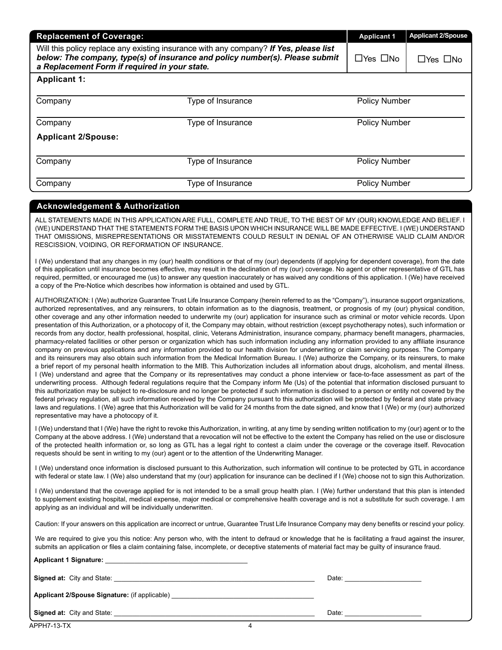| <b>Replacement of Coverage:</b>                                                                                                                                                                                        | <b>Applicant 1</b> | <b>Applicant 2/Spouse</b> |                      |
|------------------------------------------------------------------------------------------------------------------------------------------------------------------------------------------------------------------------|--------------------|---------------------------|----------------------|
| Will this policy replace any existing insurance with any company? If Yes, please list<br>below: The company, type(s) of insurance and policy number(s). Please submit<br>a Replacement Form if required in your state. |                    | $\Box$ Yes $\Box$ No      | $\Box$ Yes $\Box$ No |
| <b>Applicant 1:</b>                                                                                                                                                                                                    |                    |                           |                      |
| Company                                                                                                                                                                                                                | Type of Insurance  | <b>Policy Number</b>      |                      |
| <b>Policy Number</b><br>Type of Insurance<br>Company                                                                                                                                                                   |                    |                           |                      |
| <b>Applicant 2/Spouse:</b>                                                                                                                                                                                             |                    |                           |                      |
| Company                                                                                                                                                                                                                | Type of Insurance  | <b>Policy Number</b>      |                      |
| Company                                                                                                                                                                                                                | Type of Insurance  | Policy Number             |                      |
|                                                                                                                                                                                                                        |                    |                           |                      |

#### **Acknowledgement & Authorization**

ALL STATEMENTS MADE IN THIS APPLICATION ARE FULL, COMPLETE AND TRUE, TO THE BEST OF MY (OUR) KNOWLEDGE AND BELIEF. I (WE) UNDERSTAND THAT THE STATEMENTS FORM THE BASIS UPON WHICH INSURANCE WILL BE MADE EFFECTIVE. I (WE) UNDERSTAND THAT OMISSIONS, MISREPRESENTATIONS OR MISSTATEMENTS COULD RESULT IN DENIAL OF AN OTHERWISE VALID CLAIM AND/OR RESCISSION, VOIDING, OR REFORMATION OF INSURANCE.

I (We) understand that any changes in my (our) health conditions or that of my (our) dependents (if applying for dependent coverage), from the date of this application until insurance becomes effective, may result in the declination of my (our) coverage. No agent or other representative of GTL has required, permitted, or encouraged me (us) to answer any question inaccurately or has waived any conditions of this application. I (We) have received a copy of the Pre-Notice which describes how information is obtained and used by GTL.

AUTHORIZATION: I (We) authorize Guarantee Trust Life Insurance Company (herein referred to as the "Company"), insurance support organizations, authorized representatives, and any reinsurers, to obtain information as to the diagnosis, treatment, or prognosis of my (our) physical condition, other coverage and any other information needed to underwrite my (our) application for insurance such as criminal or motor vehicle records. Upon presentation of this Authorization, or a photocopy of it, the Company may obtain, without restriction (except psychotherapy notes), such information or records from any doctor, health professional, hospital, clinic, Veterans Administration, insurance company, pharmacy benefit managers, pharmacies, pharmacy-related facilities or other person or organization which has such information including any information provided to any affiliate insurance company on previous applications and any information provided to our health division for underwriting or claim servicing purposes. The Company and its reinsurers may also obtain such information from the Medical Information Bureau. I (We) authorize the Company, or its reinsurers, to make a brief report of my personal health information to the MIB. This Authorization includes all information about drugs, alcoholism, and mental illness. I (We) understand and agree that the Company or its representatives may conduct a phone interview or face-to-face assessment as part of the underwriting process. Although federal regulations require that the Company inform Me (Us) of the potential that information disclosed pursuant to this authorization may be subject to re-disclosure and no longer be protected if such information is disclosed to a person or entity not covered by the federal privacy regulation, all such information received by the Company pursuant to this authorization will be protected by federal and state privacy laws and regulations. I (We) agree that this Authorization will be valid for 24 months from the date signed, and know that I (We) or my (our) authorized representative may have a photocopy of it.

I (We) understand that I (We) have the right to revoke this Authorization, in writing, at any time by sending written notification to my (our) agent or to the Company at the above address. I (We) understand that a revocation will not be effective to the extent the Company has relied on the use or disclosure of the protected health information or, so long as GTL has a legal right to contest a claim under the coverage or the coverage itself. Revocation requests should be sent in writing to my (our) agent or to the attention of the Underwriting Manager.

I (We) understand once information is disclosed pursuant to this Authorization, such information will continue to be protected by GTL in accordance with federal or state law. I (We) also understand that my (our) application for insurance can be declined if I (We) choose not to sign this Authorization.

I (We) understand that the coverage applied for is not intended to be a small group health plan. I (We) further understand that this plan is intended to supplement existing hospital, medical expense, major medical or comprehensive health coverage and is not a substitute for such coverage. I am applying as an individual and will be individually underwritten.

Caution: If your answers on this application are incorrect or untrue, Guarantee Trust Life Insurance Company may deny benefits or rescind your policy.

We are required to give you this notice: Any person who, with the intent to defraud or knowledge that he is facilitating a fraud against the insurer, submits an application or files a claim containing false, incomplete, or deceptive statements of material fact may be guilty of insurance fraud.

| Applicant 1 Signature: National Applicant 1 Signature: |       |
|--------------------------------------------------------|-------|
| <b>Signed at:</b> City and State: <b>Example 2014</b>  | Date: |
| Applicant 2/Spouse Signature: (if applicable)          |       |
| <b>Signed at: City and State:</b>                      | Date: |

4